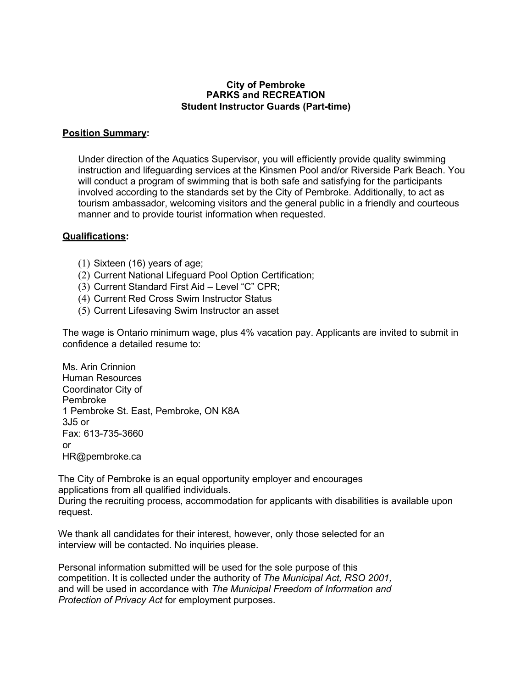#### **City of Pembroke PARKS and RECREATION Student Instructor Guards (Part-time)**

### **Position Summary:**

Under direction of the Aquatics Supervisor, you will efficiently provide quality swimming instruction and lifeguarding services at the Kinsmen Pool and/or Riverside Park Beach. You will conduct a program of swimming that is both safe and satisfying for the participants involved according to the standards set by the City of Pembroke. Additionally, to act as tourism ambassador, welcoming visitors and the general public in a friendly and courteous manner and to provide tourist information when requested.

### **Qualifications:**

- (1) Sixteen (16) years of age;
- (2) Current National Lifeguard Pool Option Certification;
- (3) Current Standard First Aid Level "C" CPR;
- (4) Current Red Cross Swim Instructor Status
- (5) Current Lifesaving Swim Instructor an asset

The wage is Ontario minimum wage, plus 4% vacation pay. Applicants are invited to submit in confidence a detailed resume to:

Ms. Arin Crinnion Human Resources Coordinator City of Pembroke 1 Pembroke St. East, Pembroke, ON K8A 3J5 or Fax: 613-735-3660 or [HR@pembroke.ca](mailto:HR@pembroke.ca)

The City of Pembroke is an equal opportunity employer and encourages applications from all qualified individuals. During the recruiting process, accommodation for applicants with disabilities is available upon request.

We thank all candidates for their interest, however, only those selected for an interview will be contacted. No inquiries please.

Personal information submitted will be used for the sole purpose of this competition. It is collected under the authority of *The Municipal Act, RSO 2001,*  and will be used in accordance with *The Municipal Freedom of Information and Protection of Privacy Act* for employment purposes.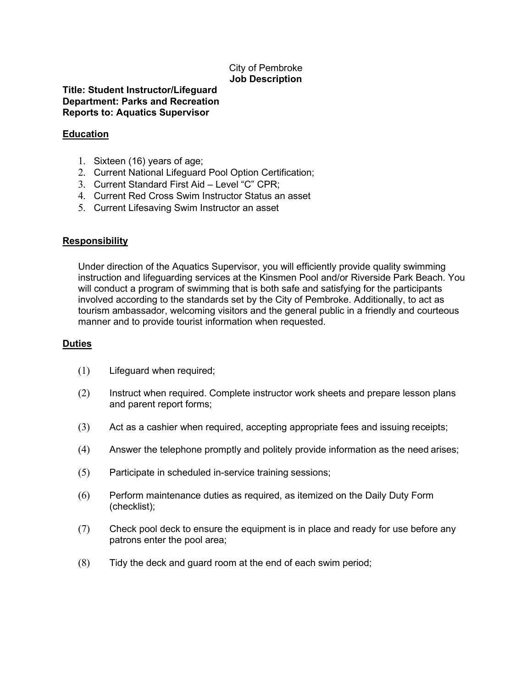# City of Pembroke **Job Description**

### **Title: Student Instructor/Lifeguard Department: Parks and Recreation Reports to: Aquatics Supervisor**

### **Education**

- 1. Sixteen (16) years of age;
- 2. Current National Lifeguard Pool Option Certification;
- 3. Current Standard First Aid Level "C" CPR;
- 4. Current Red Cross Swim Instructor Status an asset
- 5. Current Lifesaving Swim Instructor an asset

# **Responsibility**

Under direction of the Aquatics Supervisor, you will efficiently provide quality swimming instruction and lifeguarding services at the Kinsmen Pool and/or Riverside Park Beach. You will conduct a program of swimming that is both safe and satisfying for the participants involved according to the standards set by the City of Pembroke. Additionally, to act as tourism ambassador, welcoming visitors and the general public in a friendly and courteous manner and to provide tourist information when requested.

# **Duties**

- (1) Lifeguard when required;
- (2) Instruct when required. Complete instructor work sheets and prepare lesson plans and parent report forms;
- (3) Act as a cashier when required, accepting appropriate fees and issuing receipts;
- (4) Answer the telephone promptly and politely provide information as the need arises;
- (5) Participate in scheduled in-service training sessions;
- (6) Perform maintenance duties as required, as itemized on the Daily Duty Form (checklist);
- (7) Check pool deck to ensure the equipment is in place and ready for use before any patrons enter the pool area;
- (8) Tidy the deck and guard room at the end of each swim period;